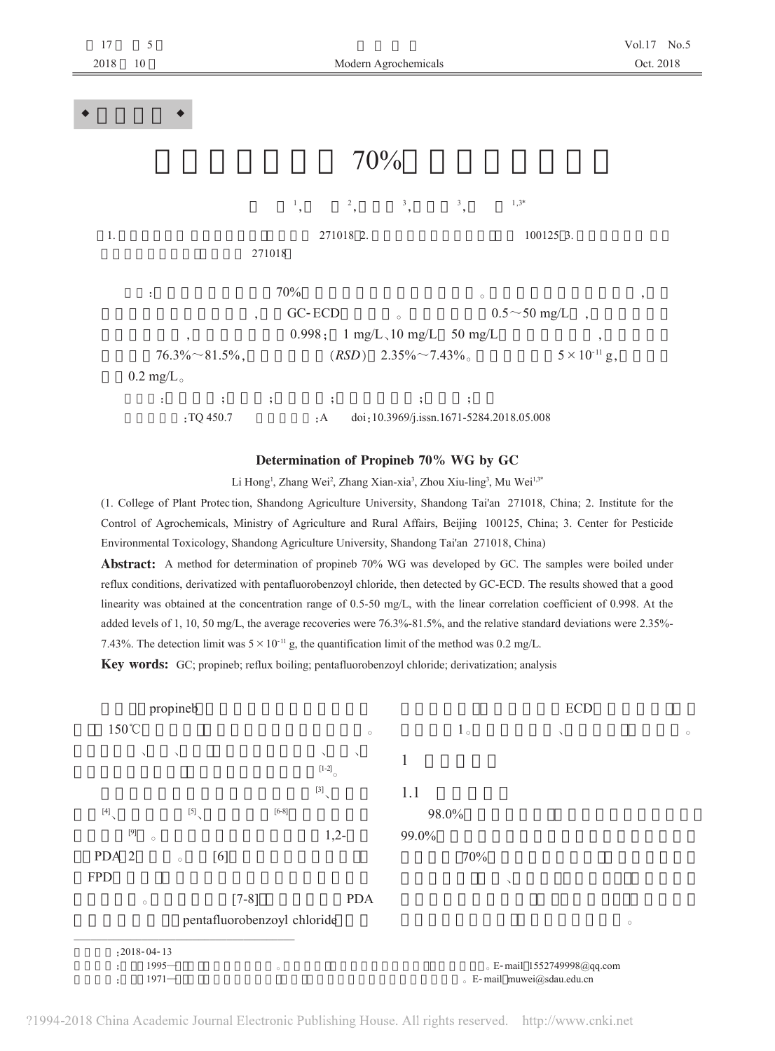| 17<br>2018      | $\sqrt{5}$<br>10   |                        | Modern Agrochemicals     |                                                 |                                           |         |                        |      | Vol.17 No.5<br>Oct. 2018 |
|-----------------|--------------------|------------------------|--------------------------|-------------------------------------------------|-------------------------------------------|---------|------------------------|------|--------------------------|
|                 |                    |                        |                          |                                                 |                                           |         |                        |      |                          |
| $\blacklozenge$ |                    |                        |                          |                                                 |                                           |         |                        |      |                          |
|                 |                    |                        |                          |                                                 | 70%                                       |         |                        |      |                          |
|                 |                    |                        | $\frac{1}{\cdot}$        | $^2,$                                           | $^3,$                                     | $^3,$   | $1,3*$                 |      |                          |
| 1.              |                    |                        | 271018                   | 271018 2.<br>100125 3.                          |                                           |         |                        |      |                          |
|                 | ÷                  |                        | 70%                      |                                                 |                                           | $\circ$ |                        |      | $^\circ$                 |
|                 |                    |                        | $\overline{\phantom{a}}$ | GC-ECD                                          | $\circ$                                   |         | $0.5 \sim 50$ mg/L ,   |      |                          |
|                 |                    | $\,$                   |                          |                                                 | $0.998; 1 mg/L \, \text{10 mg/L}$ 50 mg/L |         |                        | $\,$ |                          |
|                 |                    | $76.3\% \sim 81.5\%$ , |                          | $(RSD)$ 2.35% $\sim$ 7.43%                      |                                           |         | $5 \times 10^{-11}$ g, |      |                          |
|                 | $0.2 \text{ mg/L}$ |                        |                          |                                                 |                                           |         |                        |      |                          |
|                 | ÷.                 | $\ddot{\mathbf{z}}$    | $\ddot{\phantom{1}}$     | $\cdot$                                         | $\ddot{\phantom{1}}$                      | $\cdot$ |                        |      |                          |
|                 | :TQ 450.7          |                        |                          | doi:10.3969/j.issn.1671-5284.2018.05.008<br>: A |                                           |         |                        |      |                          |

 $=$ 

## Determination of Propineb 70% WG by GC

Li Hong<sup>1</sup>, Zhang Wei<sup>2</sup>, Zhang Xian-xia<sup>3</sup>, Zhou Xiu-ling<sup>3</sup>, Mu Wei<sup>1,34</sup>

(1. College of Plant Protec tion, Shandong Agriculture University, Shandong Tai'an 271018, China; 2. Institute for the Control of Agrochemicals, Ministry of Agriculture and Rural Affairs, Beijing 100125, China; 3. Center for Pesticide Environmental Toxicology, Shandong Agriculture University, Shandong Tai'an 271018, China)

Abstract: A method for determination of propineb 70% WG was developed by GC. The samples were boiled under reflux conditions, derivatized with pentafluorobenzoyl chloride, then detected by GC-ECD. The results showed that a good linearity was obtained at the concentration range of 0.5-50 mg/L, with the linear correlation coefficient of 0.998. At the added levels of 1, 10, 50 mg/L, the average recoveries were 76.3%-81.5%, and the relative standard deviations were 2.35%- 7.43%. The detection limit was  $5 \times 10^{-11}$  g, the quantification limit of the method was 0.2 mg/L.

Key words: GC; propineb; reflux boiling; pentafluorobenzoyl chloride; derivatization; analysis



?1994-2018 China Academic Journal Electronic Publishing House. All rights reserved. http://www.cnki.net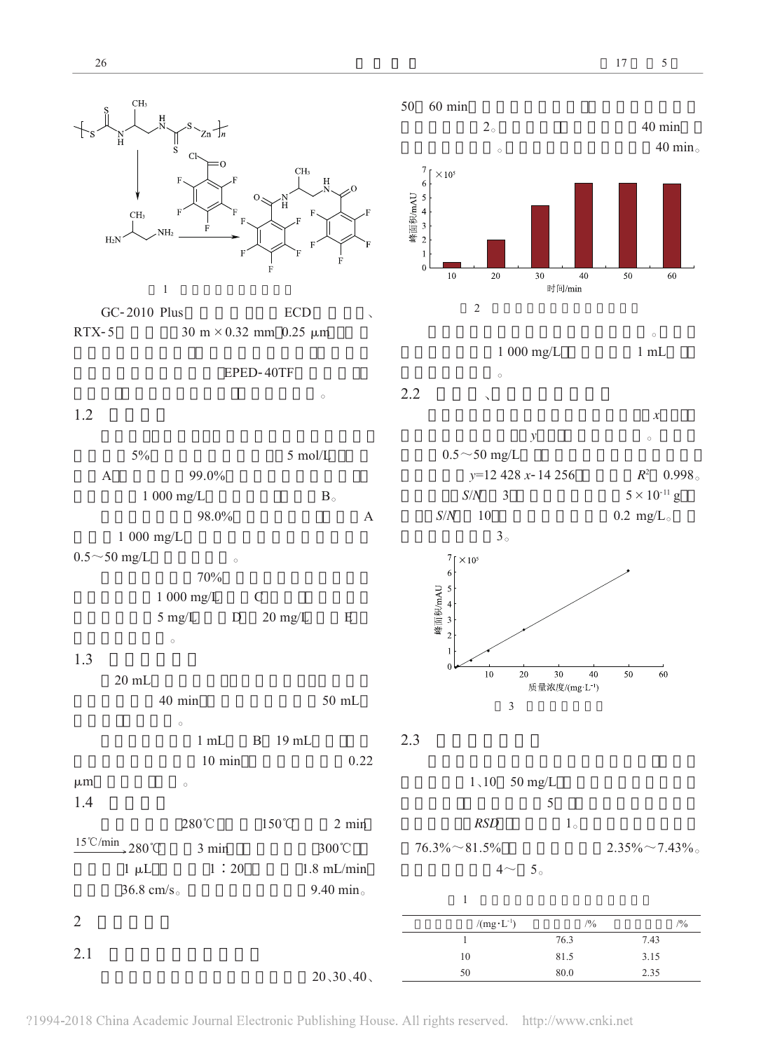